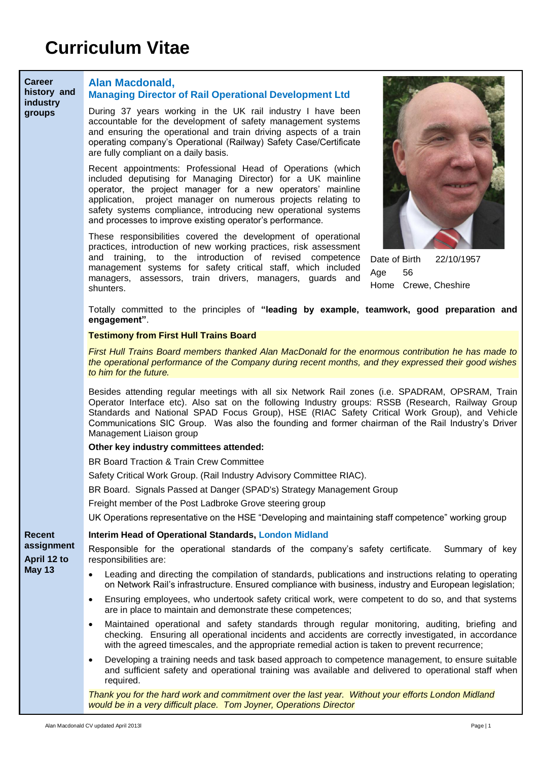| <b>Career</b><br>history and<br>industry<br>groups | <b>Alan Macdonald,</b><br><b>Managing Director of Rail Operational Development Ltd</b><br>During 37 years working in the UK rail industry I have been<br>accountable for the development of safety management systems<br>and ensuring the operational and train driving aspects of a train<br>operating company's Operational (Railway) Safety Case/Certificate<br>are fully compliant on a daily basis.                              |  |  |  |  |  |
|----------------------------------------------------|---------------------------------------------------------------------------------------------------------------------------------------------------------------------------------------------------------------------------------------------------------------------------------------------------------------------------------------------------------------------------------------------------------------------------------------|--|--|--|--|--|
|                                                    | Recent appointments: Professional Head of Operations (which<br>included deputising for Managing Director) for a UK mainline<br>operator, the project manager for a new operators' mainline<br>application, project manager on numerous projects relating to<br>safety systems compliance, introducing new operational systems<br>and processes to improve existing operator's performance.                                            |  |  |  |  |  |
|                                                    | These responsibilities covered the development of operational<br>practices, introduction of new working practices, risk assessment<br>and training, to the introduction of revised competence<br>Date of Birth<br>22/10/1957<br>management systems for safety critical staff, which included<br>Age<br>56<br>managers, assessors, train drivers, managers, guards and<br>Home Crewe, Cheshire<br>shunters.                            |  |  |  |  |  |
|                                                    | Totally committed to the principles of "leading by example, teamwork, good preparation and<br>engagement".                                                                                                                                                                                                                                                                                                                            |  |  |  |  |  |
|                                                    | <b>Testimony from First Hull Trains Board</b>                                                                                                                                                                                                                                                                                                                                                                                         |  |  |  |  |  |
|                                                    | First Hull Trains Board members thanked Alan MacDonald for the enormous contribution he has made to<br>the operational performance of the Company during recent months, and they expressed their good wishes<br>to him for the future.                                                                                                                                                                                                |  |  |  |  |  |
|                                                    | Besides attending regular meetings with all six Network Rail zones (i.e. SPADRAM, OPSRAM, Train<br>Operator Interface etc). Also sat on the following Industry groups: RSSB (Research, Railway Group<br>Standards and National SPAD Focus Group), HSE (RIAC Safety Critical Work Group), and Vehicle<br>Communications SIC Group. Was also the founding and former chairman of the Rail Industry's Driver<br>Management Liaison group |  |  |  |  |  |
|                                                    | Other key industry committees attended:                                                                                                                                                                                                                                                                                                                                                                                               |  |  |  |  |  |
|                                                    | BR Board Traction & Train Crew Committee                                                                                                                                                                                                                                                                                                                                                                                              |  |  |  |  |  |
|                                                    | Safety Critical Work Group. (Rail Industry Advisory Committee RIAC).                                                                                                                                                                                                                                                                                                                                                                  |  |  |  |  |  |
|                                                    | BR Board. Signals Passed at Danger (SPAD's) Strategy Management Group                                                                                                                                                                                                                                                                                                                                                                 |  |  |  |  |  |
|                                                    | Freight member of the Post Ladbroke Grove steering group                                                                                                                                                                                                                                                                                                                                                                              |  |  |  |  |  |
|                                                    | UK Operations representative on the HSE "Developing and maintaining staff competence" working group                                                                                                                                                                                                                                                                                                                                   |  |  |  |  |  |
| <b>Recent</b>                                      | Interim Head of Operational Standards, London Midland                                                                                                                                                                                                                                                                                                                                                                                 |  |  |  |  |  |
| assignment<br>April 12 to<br><b>May 13</b>         | Responsible for the operational standards of the company's safety certificate.<br>Summary of key<br>responsibilities are:                                                                                                                                                                                                                                                                                                             |  |  |  |  |  |
|                                                    | Leading and directing the compilation of standards, publications and instructions relating to operating<br>$\bullet$<br>on Network Rail's infrastructure. Ensured compliance with business, industry and European legislation;                                                                                                                                                                                                        |  |  |  |  |  |
|                                                    | Ensuring employees, who undertook safety critical work, were competent to do so, and that systems<br>$\bullet$<br>are in place to maintain and demonstrate these competences;                                                                                                                                                                                                                                                         |  |  |  |  |  |
|                                                    | Maintained operational and safety standards through regular monitoring, auditing, briefing and<br>$\bullet$<br>checking. Ensuring all operational incidents and accidents are correctly investigated, in accordance<br>with the agreed timescales, and the appropriate remedial action is taken to prevent recurrence;                                                                                                                |  |  |  |  |  |
|                                                    | Developing a training needs and task based approach to competence management, to ensure suitable<br>$\bullet$<br>and sufficient safety and operational training was available and delivered to operational staff when<br>required.                                                                                                                                                                                                    |  |  |  |  |  |
|                                                    | Thank you for the hard work and commitment over the last year. Without your efforts London Midland                                                                                                                                                                                                                                                                                                                                    |  |  |  |  |  |

*would be in a very difficult place. Tom Joyner, Operations Director*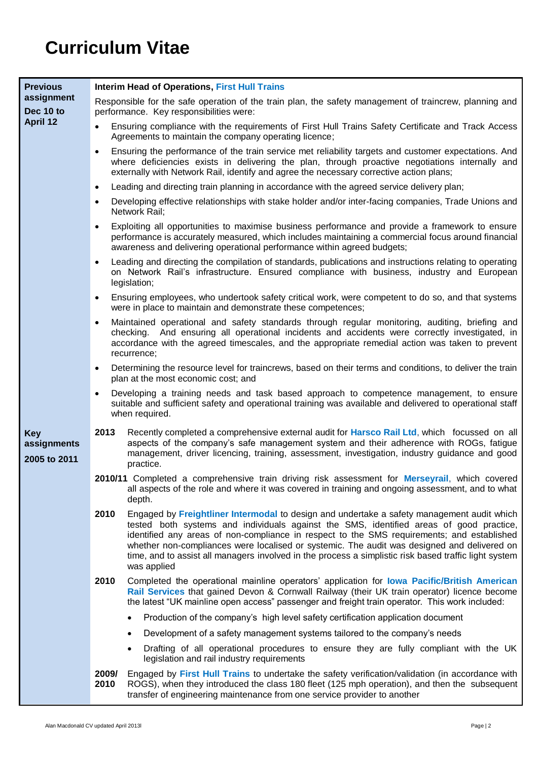## **Curriculum Vitae**

| <b>Previous</b>                           |                                                                                                                                                                                                                                                                                                                                 | <b>Interim Head of Operations, First Hull Trains</b>                                                                                                                                                                                                                                                                                                                                                                                                                                                       |  |  |  |
|-------------------------------------------|---------------------------------------------------------------------------------------------------------------------------------------------------------------------------------------------------------------------------------------------------------------------------------------------------------------------------------|------------------------------------------------------------------------------------------------------------------------------------------------------------------------------------------------------------------------------------------------------------------------------------------------------------------------------------------------------------------------------------------------------------------------------------------------------------------------------------------------------------|--|--|--|
| assignment<br>Dec 10 to<br>April 12       | Responsible for the safe operation of the train plan, the safety management of traincrew, planning and<br>performance. Key responsibilities were:                                                                                                                                                                               |                                                                                                                                                                                                                                                                                                                                                                                                                                                                                                            |  |  |  |
|                                           | Ensuring compliance with the requirements of First Hull Trains Safety Certificate and Track Access<br>$\bullet$<br>Agreements to maintain the company operating licence;                                                                                                                                                        |                                                                                                                                                                                                                                                                                                                                                                                                                                                                                                            |  |  |  |
|                                           | $\bullet$                                                                                                                                                                                                                                                                                                                       | Ensuring the performance of the train service met reliability targets and customer expectations. And<br>where deficiencies exists in delivering the plan, through proactive negotiations internally and<br>externally with Network Rail, identify and agree the necessary corrective action plans;                                                                                                                                                                                                         |  |  |  |
|                                           | $\bullet$                                                                                                                                                                                                                                                                                                                       | Leading and directing train planning in accordance with the agreed service delivery plan;                                                                                                                                                                                                                                                                                                                                                                                                                  |  |  |  |
|                                           | $\bullet$                                                                                                                                                                                                                                                                                                                       | Developing effective relationships with stake holder and/or inter-facing companies, Trade Unions and<br>Network Rail;                                                                                                                                                                                                                                                                                                                                                                                      |  |  |  |
|                                           | $\bullet$                                                                                                                                                                                                                                                                                                                       | Exploiting all opportunities to maximise business performance and provide a framework to ensure<br>performance is accurately measured, which includes maintaining a commercial focus around financial<br>awareness and delivering operational performance within agreed budgets;                                                                                                                                                                                                                           |  |  |  |
|                                           | $\bullet$                                                                                                                                                                                                                                                                                                                       | Leading and directing the compilation of standards, publications and instructions relating to operating<br>on Network Rail's infrastructure. Ensured compliance with business, industry and European<br>legislation;                                                                                                                                                                                                                                                                                       |  |  |  |
|                                           | Ensuring employees, who undertook safety critical work, were competent to do so, and that systems<br>$\bullet$<br>were in place to maintain and demonstrate these competences;                                                                                                                                                  |                                                                                                                                                                                                                                                                                                                                                                                                                                                                                                            |  |  |  |
|                                           | Maintained operational and safety standards through regular monitoring, auditing, briefing and<br>$\bullet$<br>checking. And ensuring all operational incidents and accidents were correctly investigated, in<br>accordance with the agreed timescales, and the appropriate remedial action was taken to prevent<br>recurrence; |                                                                                                                                                                                                                                                                                                                                                                                                                                                                                                            |  |  |  |
|                                           | $\bullet$                                                                                                                                                                                                                                                                                                                       | Determining the resource level for traincrews, based on their terms and conditions, to deliver the train<br>plan at the most economic cost; and                                                                                                                                                                                                                                                                                                                                                            |  |  |  |
|                                           | $\bullet$                                                                                                                                                                                                                                                                                                                       | Developing a training needs and task based approach to competence management, to ensure<br>suitable and sufficient safety and operational training was available and delivered to operational staff<br>when required.                                                                                                                                                                                                                                                                                      |  |  |  |
| <b>Key</b><br>assignments<br>2005 to 2011 | 2013                                                                                                                                                                                                                                                                                                                            | Recently completed a comprehensive external audit for Harsco Rail Ltd, which focussed on all<br>aspects of the company's safe management system and their adherence with ROGs, fatigue<br>management, driver licencing, training, assessment, investigation, industry guidance and good<br>practice.                                                                                                                                                                                                       |  |  |  |
|                                           |                                                                                                                                                                                                                                                                                                                                 | 2010/11 Completed a comprehensive train driving risk assessment for Merseyrail, which covered<br>all aspects of the role and where it was covered in training and ongoing assessment, and to what<br>depth.                                                                                                                                                                                                                                                                                                |  |  |  |
|                                           | 2010                                                                                                                                                                                                                                                                                                                            | Engaged by Freightliner Intermodal to design and undertake a safety management audit which<br>tested both systems and individuals against the SMS, identified areas of good practice,<br>identified any areas of non-compliance in respect to the SMS requirements; and established<br>whether non-compliances were localised or systemic. The audit was designed and delivered on<br>time, and to assist all managers involved in the process a simplistic risk based traffic light system<br>was applied |  |  |  |
|                                           | 2010                                                                                                                                                                                                                                                                                                                            | Completed the operational mainline operators' application for lowa Pacific/British American<br>Rail Services that gained Devon & Cornwall Railway (their UK train operator) licence become<br>the latest "UK mainline open access" passenger and freight train operator. This work included:                                                                                                                                                                                                               |  |  |  |
|                                           |                                                                                                                                                                                                                                                                                                                                 | Production of the company's high level safety certification application document<br>$\bullet$                                                                                                                                                                                                                                                                                                                                                                                                              |  |  |  |
|                                           |                                                                                                                                                                                                                                                                                                                                 | Development of a safety management systems tailored to the company's needs<br>$\bullet$                                                                                                                                                                                                                                                                                                                                                                                                                    |  |  |  |
|                                           |                                                                                                                                                                                                                                                                                                                                 | Drafting of all operational procedures to ensure they are fully compliant with the UK<br>$\bullet$<br>legislation and rail industry requirements                                                                                                                                                                                                                                                                                                                                                           |  |  |  |
|                                           | 2009/<br>2010                                                                                                                                                                                                                                                                                                                   | Engaged by First Hull Trains to undertake the safety verification/validation (in accordance with<br>ROGS), when they introduced the class 180 fleet (125 mph operation), and then the subsequent<br>transfer of engineering maintenance from one service provider to another                                                                                                                                                                                                                               |  |  |  |